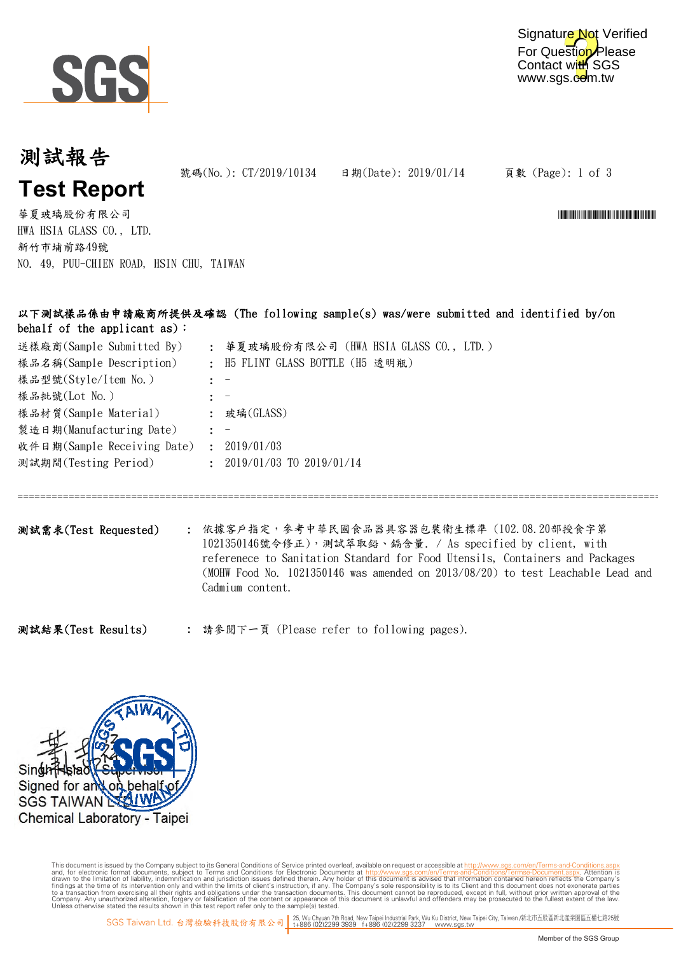

### 測試報告 **Test Report**

號碼(No.): CT/2019/10134 日期(Date): 2019/01/14

頁數 (Page): 1 of 3

華夏玻璃股份有限公司 \*CT/2019/10124\* \*CT/2019/10124\* \*CT/2019/10124\* \*CT/2019/10124\* \*CT/2019/10134\* \*CT/2019/10134\* \*CT/2019 HWA HSIA GLASS CO., LTD. 新竹市埔前路49號 NO. 49, PUU-CHIEN ROAD, HSIN CHU, TAIWAN

#### 以下測試樣品係由申請廠商所提供及確認 (The following sample(s) was/were submitted and identified by/on behalf of the applicant as):

| 送樣廠商(Sample Submitted By)   |                | : 華夏玻璃股份有限公司 (HWA HSIA GLASS CO., LTD.) |
|-----------------------------|----------------|-----------------------------------------|
| 樣品名稱(Sample Description)    |                | : H5 FLINT GLASS BOTTLE (H5 透明瓶)        |
| 樣品型號(Style/Item No.)        |                |                                         |
| 樣品批號(Lot No.)               |                |                                         |
| 樣品材質(Sample Material)       |                | : 玻璃( $GLASS$ )                         |
| 製造日期(Manufacturing Date)    |                |                                         |
| 收件日期(Sample Receiving Date) | ÷              | 2019/01/03                              |
| 測試期間(Testing Period)        | $\ddot{\cdot}$ | 2019/01/03 TO 2019/01/14                |
|                             |                |                                         |

測試需求(Test Requested) : 依據客戶指定,參考中華民國食品器具容器包裝衛生標準 (102.08.20部授食字第 1021350146號令修正),測試萃取鉛、鎘含量. / As specified by client, with referenece to Sanitation Standard for Food Utensils, Containers and Packages (MOHW Food No. 1021350146 was amended on 2013/08/20) to test Leachable Lead and Cadmium content.

=======================================================================================================================

: 請參閱下一頁 (Please refer to following pages). 測試結果(Test Results)



This document is issued by the Company subject to Terms and Conditions of Service printed overleaf, available on request or accessible at th<u>ttp://www.sgs.com/en/Terms-and-Conditions/Termse-Document as apx</u><br>and, for electr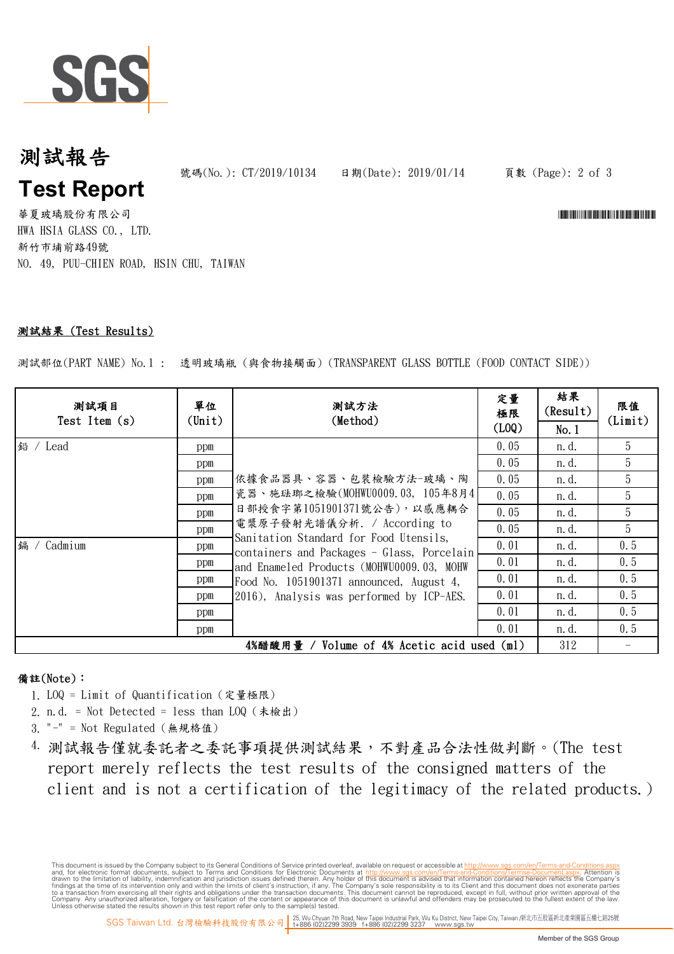

## 測試報告 **Test Report**

號碼(No.): CT/2019/10134 日期(Date): 2019/01/14

頁數 (Page): 2 of 3

華夏玻璃股份有限公司 \*CT/2019/10124\* \*CT/2019/10124\* \*CT/2019/10124\* \*CT/2019/10124\* \*CT/2019/10134\* \*CT/2019/10134\* \*CT/2019 HWA HSIA GLASS CO., LTD. 新竹市埔前路49號 NO. 49, PUU-CHIEN ROAD, HSIN CHU, TAIWAN

#### 測試結果 (Test Results)

測試部位(PART NAME) No.1 : 透明玻璃瓶 (與食物接觸面) (TRANSPARENT GLASS BOTTLE (FOOD CONTACT SIDE))

| 测試項目<br>Test Item $(s)$                     | 單位<br>$(\text{Unit})$ | 测試方法<br>(Method)                                                                                                                                                                                                                                                                                                                                    | 定量<br>極限<br>(L0Q) | 結果<br>(Result)<br>No.1 | 限值<br>(Limit) |
|---------------------------------------------|-----------------------|-----------------------------------------------------------------------------------------------------------------------------------------------------------------------------------------------------------------------------------------------------------------------------------------------------------------------------------------------------|-------------------|------------------------|---------------|
| 鉛 / Lead                                    | ppm                   | 依據食品器具、容器、包裝檢驗方法-玻璃、陶<br>瓷器、施琺瑯之檢驗(MOHWU0009.03, 105年8月4<br>日部授食字第1051901371號公告),以感應耦合<br>電漿原子發射光譜儀分析. / According to<br>Sanitation Standard for Food Utensils,<br>containers and Packages - Glass, Porcelain<br>and Enameled Products (MOHWU0009.03, MOHW<br>Food No. 1051901371 announced, August 4,<br>2016), Analysis was performed by ICP-AES. | 0.05              | n. d.                  | 5             |
|                                             | ppm                   |                                                                                                                                                                                                                                                                                                                                                     | 0.05              | n. d.                  | 5             |
|                                             | ppm                   |                                                                                                                                                                                                                                                                                                                                                     | 0.05              | n. d.                  | 5             |
|                                             | ppm                   |                                                                                                                                                                                                                                                                                                                                                     | 0.05              | n. d.                  | 5             |
|                                             | ppm                   |                                                                                                                                                                                                                                                                                                                                                     | 0.05              | n. d.                  | 5             |
|                                             | ppm                   |                                                                                                                                                                                                                                                                                                                                                     | 0.05              | n. d.                  | 5             |
| 鍢<br>Cadmium                                | ppm                   |                                                                                                                                                                                                                                                                                                                                                     | 0.01              | n. d.                  | 0.5           |
|                                             | ppm                   |                                                                                                                                                                                                                                                                                                                                                     | 0.01              | n. d.                  | 0.5           |
|                                             | ppm                   |                                                                                                                                                                                                                                                                                                                                                     | 0.01              | n. d.                  | 0.5           |
|                                             | ppm                   |                                                                                                                                                                                                                                                                                                                                                     | 0.01              | n. d.                  | 0.5           |
|                                             | ppm                   |                                                                                                                                                                                                                                                                                                                                                     | 0.01              | n. d.                  | 0.5           |
|                                             | ppm                   |                                                                                                                                                                                                                                                                                                                                                     | 0.01              | n. d.                  | 0.5           |
| 4%醋酸用量 / Volume of 4% Acetic acid used (ml) |                       |                                                                                                                                                                                                                                                                                                                                                     |                   |                        |               |

#### 備註(Note):

- 1. LOQ = Limit of Quantification (定量極限)
- 2. n.d. = Not Detected = less than LOQ (未檢出)
- 3. "-" = Not Regulated (無規格值)
- 4. 測試報告僅就委託者之委託事項提供測試結果,不對產品合法性做判斷。(The test report merely reflects the test results of the consigned matters of the client and is not a certification of the legitimacy of the related products.)

This document is issued by the Company subject to Terms and Conditions of Service printed overleaf, available on request or accessible at th<u>ttp://www.sgs.com/en/Terms-and-Conditions/Termse-Document as apx</u><br>and, for electr